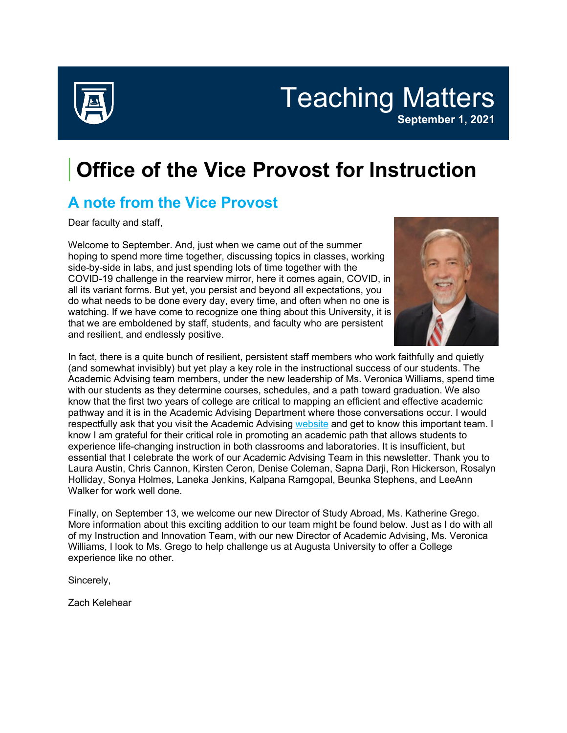

Teaching Matters **September 1, 2021**

# **Office of the Vice Provost for Instruction**

## **A note from the Vice Provost**

Dear faculty and staff,

Welcome to September. And, just when we came out of the summer hoping to spend more time together, discussing topics in classes, working side-by-side in labs, and just spending lots of time together with the COVID-19 challenge in the rearview mirror, here it comes again, COVID, in all its variant forms. But yet, you persist and beyond all expectations, you do what needs to be done every day, every time, and often when no one is watching. If we have come to recognize one thing about this University, it is that we are emboldened by staff, students, and faculty who are persistent and resilient, and endlessly positive.



In fact, there is a quite bunch of resilient, persistent staff members who work faithfully and quietly (and somewhat invisibly) but yet play a key role in the instructional success of our students. The Academic Advising team members, under the new leadership of Ms. Veronica Williams, spend time with our students as they determine courses, schedules, and a path toward graduation. We also know that the first two years of college are critical to mapping an efficient and effective academic pathway and it is in the Academic Advising Department where those conversations occur. I would respectfully ask that you visit the Academic Advising [website](https://auginstruction.us.newsweaver.com/1thdod2jd7/5hu7yu3zjuds0clokiabax/external?a=5&p=7722055&t=127574) and get to know this important team. I know I am grateful for their critical role in promoting an academic path that allows students to experience life-changing instruction in both classrooms and laboratories. It is insufficient, but essential that I celebrate the work of our Academic Advising Team in this newsletter. Thank you to Laura Austin, Chris Cannon, Kirsten Ceron, Denise Coleman, Sapna Darji, Ron Hickerson, Rosalyn Holliday, Sonya Holmes, Laneka Jenkins, Kalpana Ramgopal, Beunka Stephens, and LeeAnn Walker for work well done.

Finally, on September 13, we welcome our new Director of Study Abroad, Ms. Katherine Grego. More information about this exciting addition to our team might be found below. Just as I do with all of my Instruction and Innovation Team, with our new Director of Academic Advising, Ms. Veronica Williams, I look to Ms. Grego to help challenge us at Augusta University to offer a College experience like no other.

Sincerely,

Zach Kelehear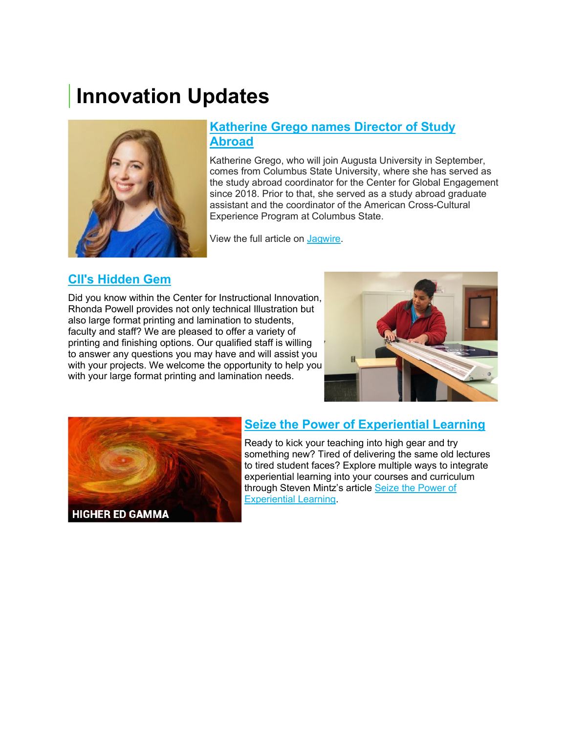## **Innovation Updates**



#### **[Katherine Grego names Director of Study](https://auginstruction.us.newsweaver.com/1thdod2jd7/n0tea2i3s4fs0clokiabax?lang=en&a=1&p=7722055&t=2188137)  [Abroad](https://auginstruction.us.newsweaver.com/1thdod2jd7/n0tea2i3s4fs0clokiabax?lang=en&a=1&p=7722055&t=2188137)**

Katherine Grego, who will join Augusta University in September, comes from Columbus State University, where she has served as the study abroad coordinator for the Center for Global Engagement since 2018. Prior to that, she served as a study abroad graduate assistant and the coordinator of the American Cross-Cultural Experience Program at Columbus State.

View the full article on [Jagwire.](https://auginstruction.us.newsweaver.com/1thdod2jd7/80sazrc7gkms0clokiabax/external?a=5&p=7722055&t=2188137)

#### **[CII's Hidden Gem](https://auginstruction.us.newsweaver.com/1thdod2jd7/p7ozqqo76sas0clokiabax?lang=en&a=1&p=7722055&t=1546057)**

Did you know within the Center for Instructional Innovation, Rhonda Powell provides not only technical Illustration but also large format printing and lamination to students, faculty and staff? We are pleased to offer a variety of printing and finishing options. Our qualified staff is willing to answer any questions you may have and will assist you with your projects. We welcome the opportunity to help you with your large format printing and lamination needs.





#### **[Seize the Power of Experiential Learning](https://auginstruction.us.newsweaver.com/1thdod2jd7/1fks45mlr2is0clokiabax?lang=en&a=1&p=7722055&t=2105149)**

Ready to kick your teaching into high gear and try something new? Tired of delivering the same old lectures to tired student faces? Explore multiple ways to integrate experiential learning into your courses and curriculum through Steven Mintz's article [Seize the Power of](https://auginstruction.us.newsweaver.com/1thdod2jd7/n64wscgzhgls0clokiabax/external?a=5&p=7722055&t=2105149)  [Experiential Learning.](https://auginstruction.us.newsweaver.com/1thdod2jd7/n64wscgzhgls0clokiabax/external?a=5&p=7722055&t=2105149)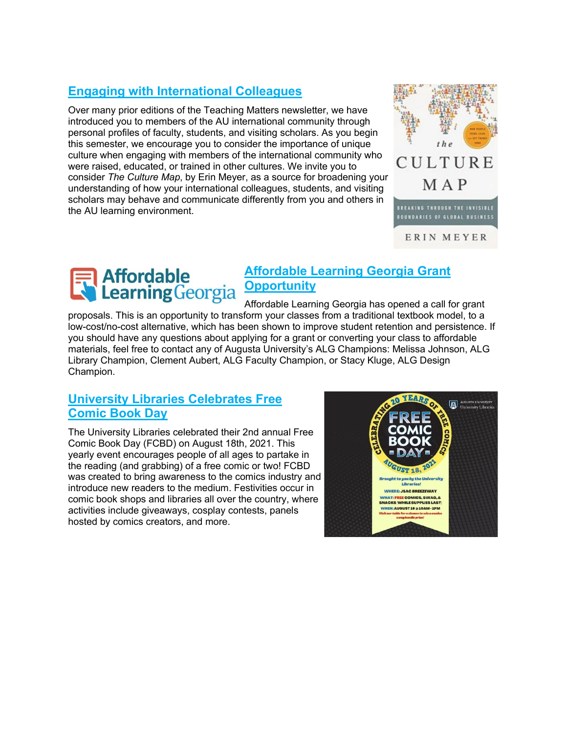#### **[Engaging with International Colleagues](https://auginstruction.us.newsweaver.com/1thdod2jd7/1ad6x65v4mhs0clokiabax?lang=en&a=1&p=7722055&t=2102921)**

Over many prior editions of the Teaching Matters newsletter, we have introduced you to members of the AU international community through personal profiles of faculty, students, and visiting scholars. As you begin this semester, we encourage you to consider the importance of unique culture when engaging with members of the international community who were raised, educated, or trained in other cultures. We invite you to consider *The Culture Map*, by Erin Meyer, as a source for broadening your understanding of how your international colleagues, students, and visiting scholars may behave and communicate differently from you and others in the AU learning environment.





#### **[Affordable Learning Georgia Grant](https://auginstruction.us.newsweaver.com/1thdod2jd7/3s5joeh833rs0clokiabax?lang=en&a=1&p=7722055&t=2105041)  [Opportunity](https://auginstruction.us.newsweaver.com/1thdod2jd7/3s5joeh833rs0clokiabax?lang=en&a=1&p=7722055&t=2105041)**

Affordable Learning Georgia has opened a call for grant proposals. This is an opportunity to transform your classes from a traditional textbook model, to a low-cost/no-cost alternative, which has been shown to improve student retention and persistence. If you should have any questions about applying for a grant or converting your class to affordable materials, feel free to contact any of Augusta University's ALG Champions: Melissa Johnson, ALG Library Champion, Clement Aubert, ALG Faculty Champion, or Stacy Kluge, ALG Design Champion.

#### **[University Libraries Celebrates Free](https://auginstruction.us.newsweaver.com/1thdod2jd7/1pqcnelylsds0clokiabax?lang=en&a=1&p=7722055&t=2102920)  [Comic Book Day](https://auginstruction.us.newsweaver.com/1thdod2jd7/1pqcnelylsds0clokiabax?lang=en&a=1&p=7722055&t=2102920)**

The University Libraries celebrated their 2nd annual Free Comic Book Day (FCBD) on August 18th, 2021. This yearly event encourages people of all ages to partake in the reading (and grabbing) of a free comic or two! FCBD was created to bring awareness to the comics industry and introduce new readers to the medium. Festivities occur in comic book shops and libraries all over the country, where activities include giveaways, cosplay contests, panels hosted by comics creators, and more.

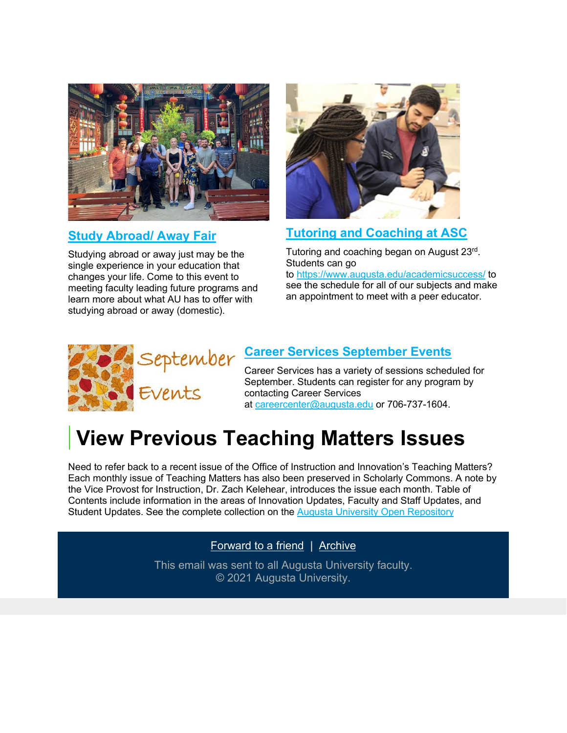

#### **[Study Abroad/ Away Fair](https://auginstruction.us.newsweaver.com/1thdod2jd7/19jktv9mwqns0clokiabax?lang=en&a=1&p=7722055&t=2188089)**

Studying abroad or away just may be the single experience in your education that changes your life. Come to this event to meeting faculty leading future programs and learn more about what AU has to offer with studying abroad or away (domestic).



### **[Tutoring and Coaching at ASC](https://auginstruction.us.newsweaver.com/1thdod2jd7/1qwcsa3pw0fs0clokiabax?lang=en&a=1&p=7722055&t=2188089)**

Tutoring and coaching began on August 23rd. Students can go to [https://www.augusta.edu/academicsuccess/](https://auginstruction.us.newsweaver.com/1thdod2jd7/rpnqa4owvw3s0clokiabax/external?a=5&p=7722055&t=2188089) to see the schedule for all of our subjects and make an appointment to meet with a peer educator.



### **[Career Services September Events](https://auginstruction.us.newsweaver.com/1thdod2jd7/dupo96e3dnts0clokiabax?lang=en&a=1&p=7722055&t=2188090)**

Career Services has a variety of sessions scheduled for September. Students can register for any program by contacting Career Services at [careercenter@augusta.edu](mailto:careercenter@augusta.edu) or 706-737-1604.

# **View Previous Teaching Matters Issues**

Need to refer back to a recent issue of the Office of Instruction and Innovation's Teaching Matters? Each monthly issue of Teaching Matters has also been preserved in Scholarly Commons. A note by the Vice Provost for Instruction, Dr. Zach Kelehear, introduces the issue each month. Table of Contents include information in the areas of Innovation Updates, Faculty and Staff Updates, and Student Updates. See the complete collection on the [Augusta University Open Repository](https://auginstruction.us.newsweaver.com/1thdod2jd7/c395w2kbz9os0clokiabax/external?a=5&p=7722055&t=1476977)

[Forward to a friend](https://auginstruction.us.newsweaver.com/1thdod2jd7/1bmbvce9xmgs0clokiabax?lang=en&a=6&p=7722055&t=127598) | [Archive](https://auginstruction.us.newsweaver.com/1thdod2jd7/1fsxxty29a0s0clokiabax/external?a=6&p=7722055&t=127598)

This email was sent to all Augusta University faculty. © 2021 Augusta University.